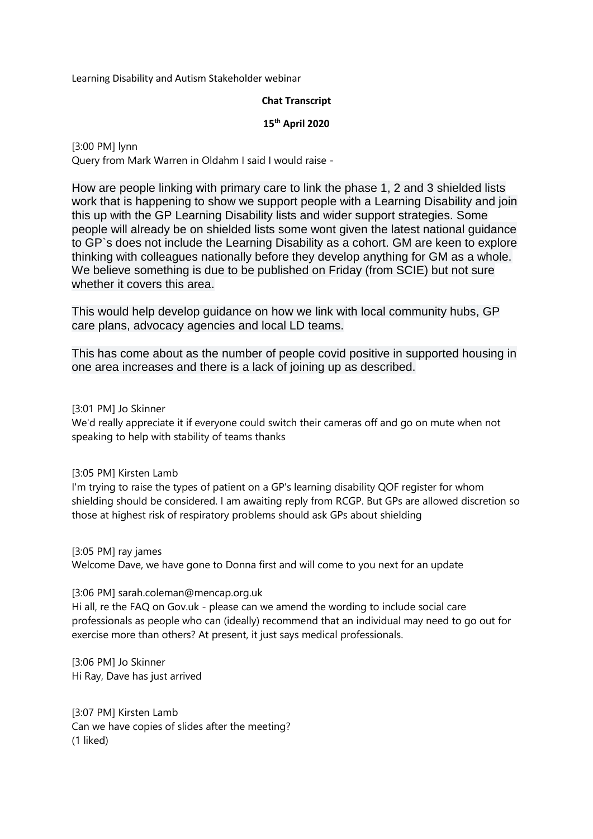Learning Disability and Autism Stakeholder webinar

### **Chat Transcript**

### **15th April 2020**

[3:00 PM] lynn Query from Mark Warren in Oldahm I said I would raise -

How are people linking with primary care to link the phase 1, 2 and 3 shielded lists work that is happening to show we support people with a Learning Disability and join this up with the GP Learning Disability lists and wider support strategies. Some people will already be on shielded lists some wont given the latest national guidance to GP`s does not include the Learning Disability as a cohort. GM are keen to explore thinking with colleagues nationally before they develop anything for GM as a whole. We believe something is due to be published on Friday (from SCIE) but not sure whether it covers this area.

This would help develop guidance on how we link with local community hubs, GP care plans, advocacy agencies and local LD teams.

This has come about as the number of people covid positive in supported housing in one area increases and there is a lack of joining up as described.

[3:01 PM] Jo Skinner

We'd really appreciate it if everyone could switch their cameras off and go on mute when not speaking to help with stability of teams thanks

[3:05 PM] Kirsten Lamb

I'm trying to raise the types of patient on a GP's learning disability QOF register for whom shielding should be considered. I am awaiting reply from RCGP. But GPs are allowed discretion so those at highest risk of respiratory problems should ask GPs about shielding

[3:05 PM] ray james Welcome Dave, we have gone to Donna first and will come to you next for an update

[3:06 PM] sarah.coleman@mencap.org.uk

Hi all, re the FAQ on Gov.uk - please can we amend the wording to include social care professionals as people who can (ideally) recommend that an individual may need to go out for exercise more than others? At present, it just says medical professionals.

[3:06 PM] Jo Skinner Hi Ray, Dave has just arrived

[3:07 PM] Kirsten Lamb Can we have copies of slides after the meeting? (1 liked)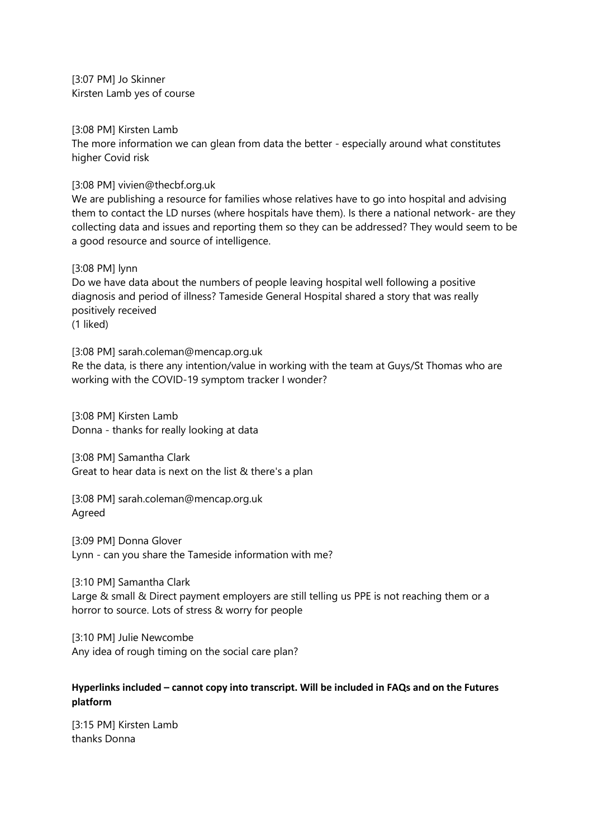[3:07 PM] Jo Skinner Kirsten Lamb yes of course

[3:08 PM] Kirsten Lamb

The more information we can glean from data the better - especially around what constitutes higher Covid risk

[3:08 PM] vivien@thecbf.org.uk

We are publishing a resource for families whose relatives have to go into hospital and advising them to contact the LD nurses (where hospitals have them). Is there a national network- are they collecting data and issues and reporting them so they can be addressed? They would seem to be a good resource and source of intelligence.

[3:08 PM] lynn

Do we have data about the numbers of people leaving hospital well following a positive diagnosis and period of illness? Tameside General Hospital shared a story that was really positively received (1 liked)

[3:08 PM] sarah.coleman@mencap.org.uk Re the data, is there any intention/value in working with the team at Guys/St Thomas who are working with the COVID-19 symptom tracker I wonder?

[3:08 PM] Kirsten Lamb Donna - thanks for really looking at data

[3:08 PM] Samantha Clark Great to hear data is next on the list & there's a plan

[3:08 PM] sarah.coleman@mencap.org.uk Agreed

[3:09 PM] Donna Glover Lynn - can you share the Tameside information with me?

[3:10 PM] Samantha Clark Large & small & Direct payment employers are still telling us PPE is not reaching them or a horror to source. Lots of stress & worry for people

[3:10 PM] Julie Newcombe Any idea of rough timing on the social care plan?

# **Hyperlinks included – cannot copy into transcript. Will be included in FAQs and on the Futures platform**

[3:15 PM] Kirsten Lamb thanks Donna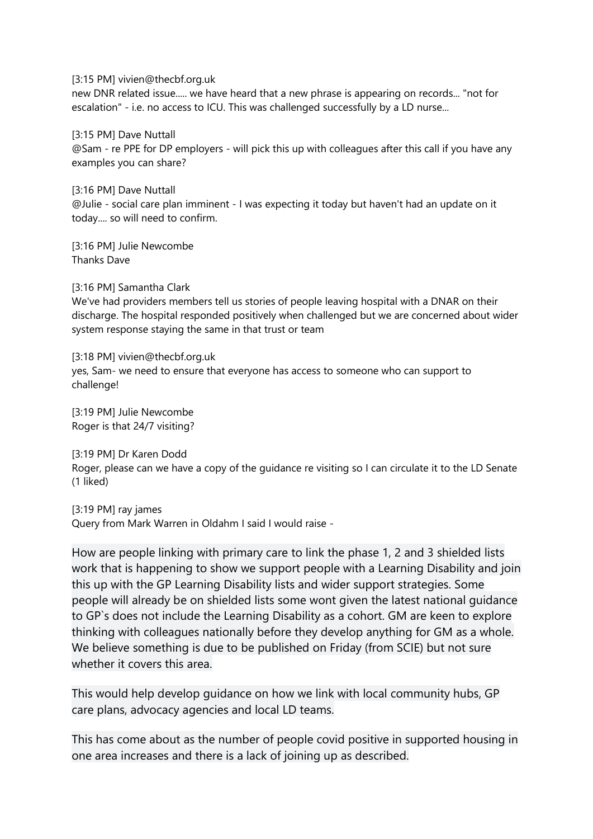[3:15 PM] vivien@thecbf.org.uk

new DNR related issue..... we have heard that a new phrase is appearing on records... "not for escalation" - i.e. no access to ICU. This was challenged successfully by a LD nurse...

[3:15 PM] Dave Nuttall @Sam - re PPE for DP employers - will pick this up with colleagues after this call if you have any examples you can share?

[3:16 PM] Dave Nuttall @Julie - social care plan imminent - I was expecting it today but haven't had an update on it today.... so will need to confirm.

[3:16 PM] Julie Newcombe Thanks Dave

[3:16 PM] Samantha Clark We've had providers members tell us stories of people leaving hospital with a DNAR on their discharge. The hospital responded positively when challenged but we are concerned about wider system response staying the same in that trust or team

[3:18 PM] vivien@thecbf.org.uk yes, Sam- we need to ensure that everyone has access to someone who can support to challenge!

[3:19 PM] Julie Newcombe Roger is that 24/7 visiting?

[3:19 PM] Dr Karen Dodd Roger, please can we have a copy of the guidance re visiting so I can circulate it to the LD Senate (1 liked)

[3:19 PM] ray james Query from Mark Warren in Oldahm I said I would raise -

How are people linking with primary care to link the phase 1, 2 and 3 shielded lists work that is happening to show we support people with a Learning Disability and join this up with the GP Learning Disability lists and wider support strategies. Some people will already be on shielded lists some wont given the latest national guidance to GP`s does not include the Learning Disability as a cohort. GM are keen to explore thinking with colleagues nationally before they develop anything for GM as a whole. We believe something is due to be published on Friday (from SCIE) but not sure whether it covers this area.

This would help develop guidance on how we link with local community hubs, GP care plans, advocacy agencies and local LD teams.

This has come about as the number of people covid positive in supported housing in one area increases and there is a lack of joining up as described.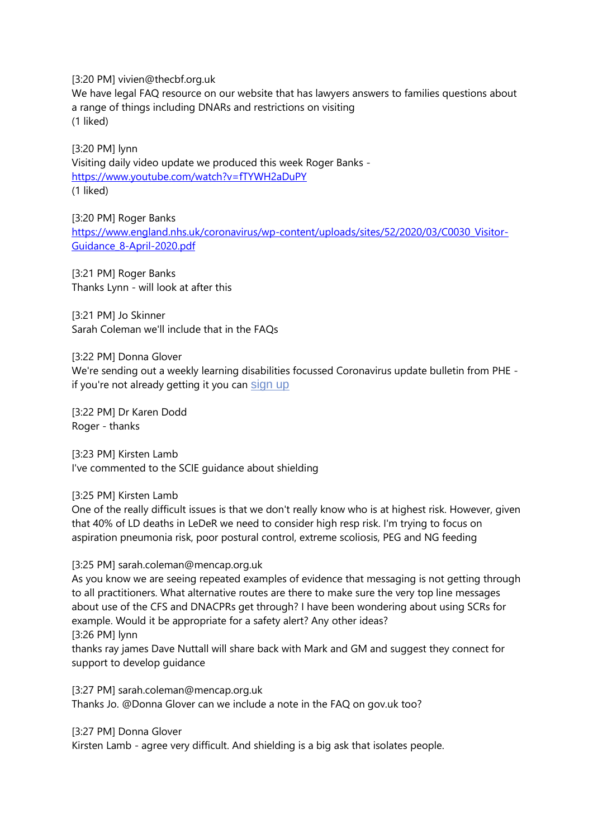[3:20 PM] vivien@thecbf.org.uk

We have legal FAQ resource on our website that has lawyers answers to families questions about a range of things including DNARs and restrictions on visiting (1 liked)

[3:20 PM] lynn Visiting daily video update we produced this week Roger Banks <https://www.youtube.com/watch?v=fTYWH2aDuPY> (1 liked)

[3:20 PM] Roger Banks [https://www.england.nhs.uk/coronavirus/wp-content/uploads/sites/52/2020/03/C0030\\_Visitor-](https://www.england.nhs.uk/coronavirus/wp-content/uploads/sites/52/2020/03/C0030_Visitor-Guidance_8-April-2020.pdf)[Guidance\\_8-April-2020.pdf](https://www.england.nhs.uk/coronavirus/wp-content/uploads/sites/52/2020/03/C0030_Visitor-Guidance_8-April-2020.pdf)

[3:21 PM] Roger Banks Thanks Lynn - will look at after this

[3:21 PM] Jo Skinner Sarah Coleman we'll include that in the FAQs

[3:22 PM] Donna Glover

We're sending out a weekly learning disabilities focussed Coronavirus update bulletin from PHE if you're not already getting it you can [sign up](https://public.govdelivery.com/accounts/UKHPA/subscribers/new)

[3:22 PM] Dr Karen Dodd Roger - thanks

[3:23 PM] Kirsten Lamb I've commented to the SCIE guidance about shielding

[3:25 PM] Kirsten Lamb

One of the really difficult issues is that we don't really know who is at highest risk. However, given that 40% of LD deaths in LeDeR we need to consider high resp risk. I'm trying to focus on aspiration pneumonia risk, poor postural control, extreme scoliosis, PEG and NG feeding

[3:25 PM] sarah.coleman@mencap.org.uk

As you know we are seeing repeated examples of evidence that messaging is not getting through to all practitioners. What alternative routes are there to make sure the very top line messages about use of the CFS and DNACPRs get through? I have been wondering about using SCRs for example. Would it be appropriate for a safety alert? Any other ideas? [3:26 PM] lynn

thanks ray james Dave Nuttall will share back with Mark and GM and suggest they connect for support to develop guidance

[3:27 PM] sarah.coleman@mencap.org.uk Thanks Jo. @Donna Glover can we include a note in the FAQ on gov.uk too?

[3:27 PM] Donna Glover

Kirsten Lamb - agree very difficult. And shielding is a big ask that isolates people.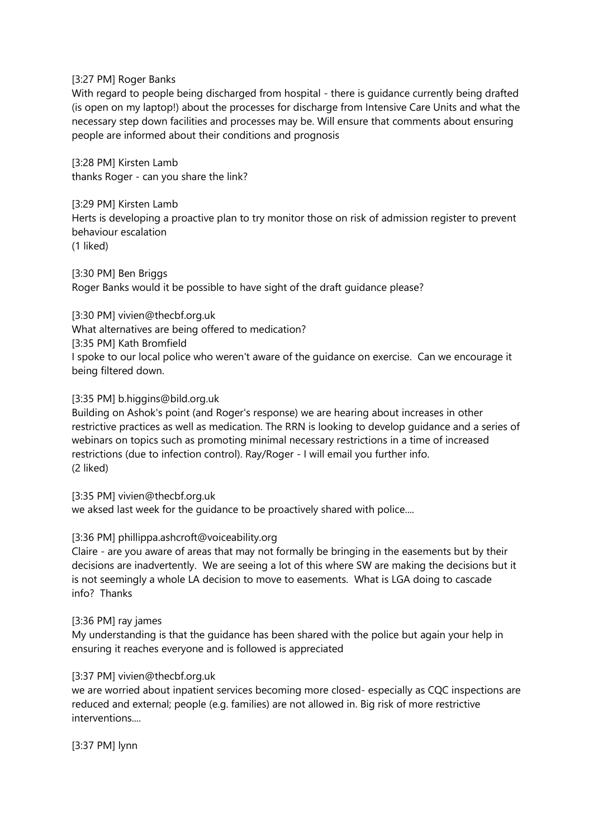### [3:27 PM] Roger Banks

With regard to people being discharged from hospital - there is guidance currently being drafted (is open on my laptop!) about the processes for discharge from Intensive Care Units and what the necessary step down facilities and processes may be. Will ensure that comments about ensuring people are informed about their conditions and prognosis

[3:28 PM] Kirsten Lamb thanks Roger - can you share the link?

[3:29 PM] Kirsten Lamb Herts is developing a proactive plan to try monitor those on risk of admission register to prevent behaviour escalation (1 liked)

[3:30 PM] Ben Briggs Roger Banks would it be possible to have sight of the draft guidance please?

[3:30 PM] vivien@thecbf.org.uk

What alternatives are being offered to medication?

[3:35 PM] Kath Bromfield

I spoke to our local police who weren't aware of the guidance on exercise. Can we encourage it being filtered down.

### [3:35 PM] b.higgins@bild.org.uk

Building on Ashok's point (and Roger's response) we are hearing about increases in other restrictive practices as well as medication. The RRN is looking to develop guidance and a series of webinars on topics such as promoting minimal necessary restrictions in a time of increased restrictions (due to infection control). Ray/Roger - I will email you further info. (2 liked)

[3:35 PM] vivien@thecbf.org.uk we aksed last week for the guidance to be proactively shared with police....

# [3:36 PM] phillippa.ashcroft@voiceability.org

Claire - are you aware of areas that may not formally be bringing in the easements but by their decisions are inadvertently. We are seeing a lot of this where SW are making the decisions but it is not seemingly a whole LA decision to move to easements. What is LGA doing to cascade info? Thanks

### [3:36 PM] ray james

My understanding is that the guidance has been shared with the police but again your help in ensuring it reaches everyone and is followed is appreciated

# [3:37 PM] vivien@thecbf.org.uk

we are worried about inpatient services becoming more closed- especially as CQC inspections are reduced and external; people (e.g. families) are not allowed in. Big risk of more restrictive interventions....

[3:37 PM] lynn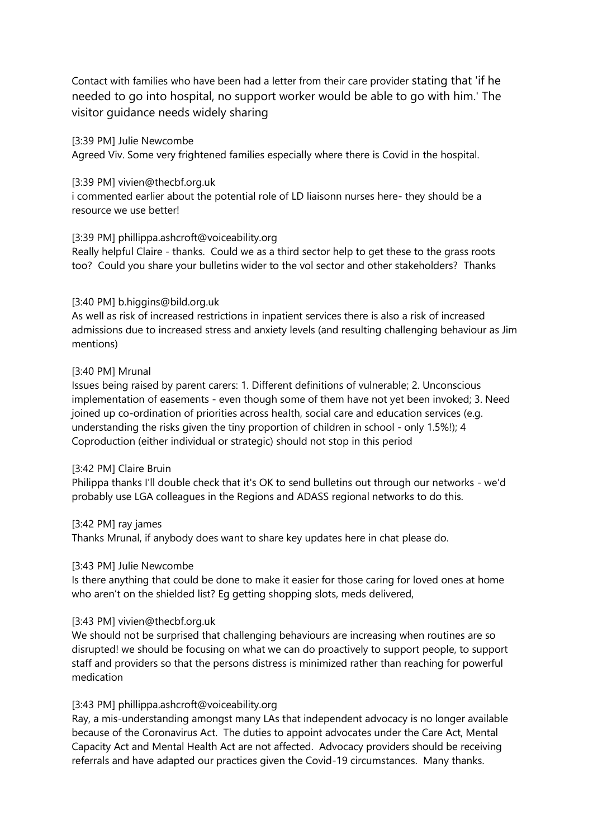Contact with families who have been had a letter from their care provider stating that 'if he needed to go into hospital, no support worker would be able to go with him.' The visitor guidance needs widely sharing

[3:39 PM] Julie Newcombe Agreed Viv. Some very frightened families especially where there is Covid in the hospital.

## [3:39 PM] vivien@thecbf.org.uk

i commented earlier about the potential role of LD liaisonn nurses here- they should be a resource we use better!

### [3:39 PM] phillippa.ashcroft@voiceability.org

Really helpful Claire - thanks. Could we as a third sector help to get these to the grass roots too? Could you share your bulletins wider to the vol sector and other stakeholders? Thanks

### [3:40 PM] b.higgins@bild.org.uk

As well as risk of increased restrictions in inpatient services there is also a risk of increased admissions due to increased stress and anxiety levels (and resulting challenging behaviour as Jim mentions)

### [3:40 PM] Mrunal

Issues being raised by parent carers: 1. Different definitions of vulnerable; 2. Unconscious implementation of easements - even though some of them have not yet been invoked; 3. Need joined up co-ordination of priorities across health, social care and education services (e.g. understanding the risks given the tiny proportion of children in school - only 1.5%!); 4 Coproduction (either individual or strategic) should not stop in this period

### [3:42 PM] Claire Bruin

Philippa thanks I'll double check that it's OK to send bulletins out through our networks - we'd probably use LGA colleagues in the Regions and ADASS regional networks to do this.

### [3:42 PM] ray james

Thanks Mrunal, if anybody does want to share key updates here in chat please do.

### [3:43 PM] Julie Newcombe

Is there anything that could be done to make it easier for those caring for loved ones at home who aren't on the shielded list? Eg getting shopping slots, meds delivered,

### [3:43 PM] vivien@thecbf.org.uk

We should not be surprised that challenging behaviours are increasing when routines are so disrupted! we should be focusing on what we can do proactively to support people, to support staff and providers so that the persons distress is minimized rather than reaching for powerful medication

# [3:43 PM] phillippa.ashcroft@voiceability.org

Ray, a mis-understanding amongst many LAs that independent advocacy is no longer available because of the Coronavirus Act. The duties to appoint advocates under the Care Act, Mental Capacity Act and Mental Health Act are not affected. Advocacy providers should be receiving referrals and have adapted our practices given the Covid-19 circumstances. Many thanks.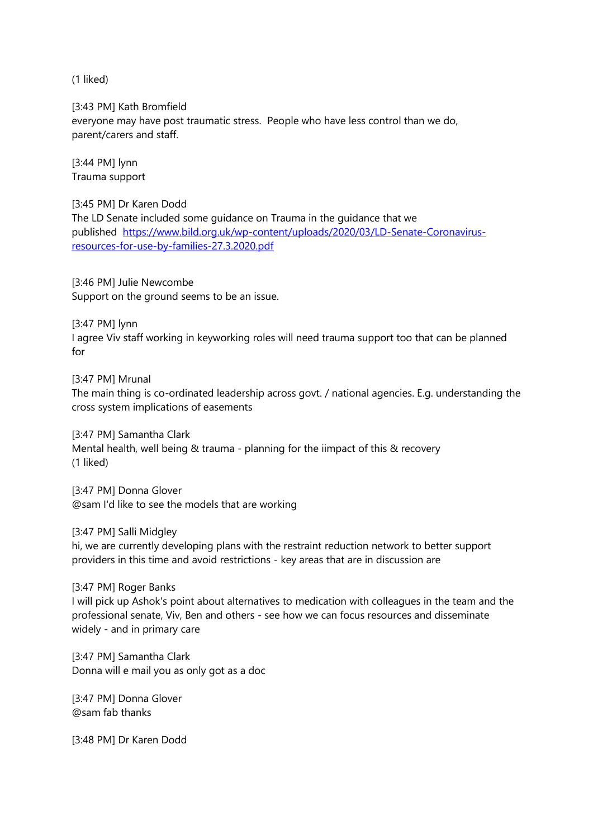(1 liked)

[3:43 PM] Kath Bromfield everyone may have post traumatic stress. People who have less control than we do, parent/carers and staff.

[3:44 PM] lynn Trauma support

[3:45 PM] Dr Karen Dodd The LD Senate included some guidance on Trauma in the guidance that we published [https://www.bild.org.uk/wp-content/uploads/2020/03/LD-Senate-Coronavirus](https://www.bild.org.uk/wp-content/uploads/2020/03/LD-Senate-Coronavirus-resources-for-use-by-families-27.3.2020.pdf)[resources-for-use-by-families-27.3.2020.pdf](https://www.bild.org.uk/wp-content/uploads/2020/03/LD-Senate-Coronavirus-resources-for-use-by-families-27.3.2020.pdf)

[3:46 PM] Julie Newcombe Support on the ground seems to be an issue.

[3:47 PM] lynn I agree Viv staff working in keyworking roles will need trauma support too that can be planned for

[3:47 PM] Mrunal The main thing is co-ordinated leadership across govt. / national agencies. E.g. understanding the cross system implications of easements

[3:47 PM] Samantha Clark Mental health, well being & trauma - planning for the iimpact of this & recovery (1 liked)

[3:47 PM] Donna Glover @sam I'd like to see the models that are working

[3:47 PM] Salli Midgley hi, we are currently developing plans with the restraint reduction network to better support providers in this time and avoid restrictions - key areas that are in discussion are

[3:47 PM] Roger Banks I will pick up Ashok's point about alternatives to medication with colleagues in the team and the professional senate, Viv, Ben and others - see how we can focus resources and disseminate widely - and in primary care

[3:47 PM] Samantha Clark Donna will e mail you as only got as a doc

[3:47 PM] Donna Glover @sam fab thanks

[3:48 PM] Dr Karen Dodd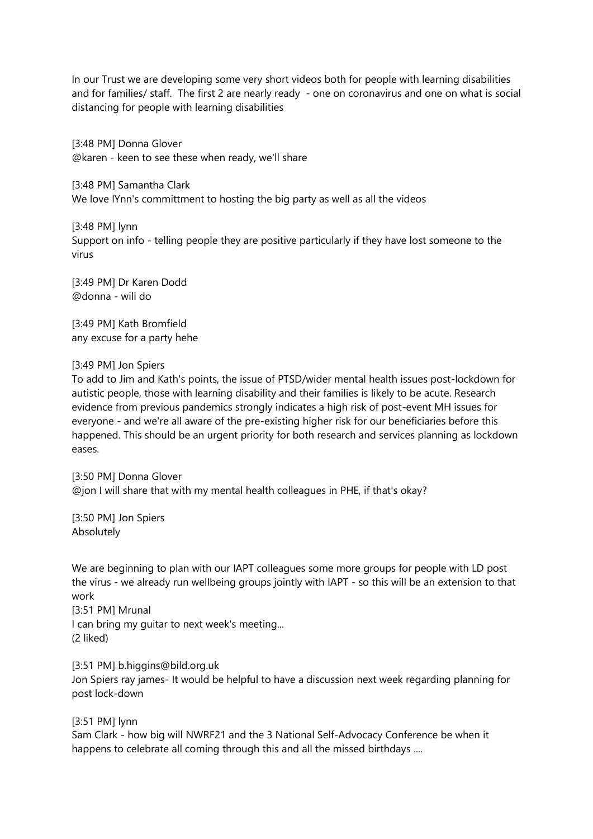In our Trust we are developing some very short videos both for people with learning disabilities and for families/ staff. The first 2 are nearly ready - one on coronavirus and one on what is social distancing for people with learning disabilities

[3:48 PM] Donna Glover @karen - keen to see these when ready, we'll share

[3:48 PM] Samantha Clark We love lYnn's committment to hosting the big party as well as all the videos

[3:48 PM] lynn Support on info - telling people they are positive particularly if they have lost someone to the virus

[3:49 PM] Dr Karen Dodd @donna - will do

[3:49 PM] Kath Bromfield any excuse for a party hehe

### [3:49 PM] Jon Spiers

To add to Jim and Kath's points, the issue of PTSD/wider mental health issues post-lockdown for autistic people, those with learning disability and their families is likely to be acute. Research evidence from previous pandemics strongly indicates a high risk of post-event MH issues for everyone - and we're all aware of the pre-existing higher risk for our beneficiaries before this happened. This should be an urgent priority for both research and services planning as lockdown eases.

[3:50 PM] Donna Glover @jon I will share that with my mental health colleagues in PHE, if that's okay?

[3:50 PM] Jon Spiers Absolutely

We are beginning to plan with our IAPT colleagues some more groups for people with LD post the virus - we already run wellbeing groups jointly with IAPT - so this will be an extension to that work

[3:51 PM] Mrunal I can bring my guitar to next week's meeting... (2 liked)

[3:51 PM] b.higgins@bild.org.uk

Jon Spiers ray james- It would be helpful to have a discussion next week regarding planning for post lock-down

[3:51 PM] lynn

Sam Clark - how big will NWRF21 and the 3 National Self-Advocacy Conference be when it happens to celebrate all coming through this and all the missed birthdays ....